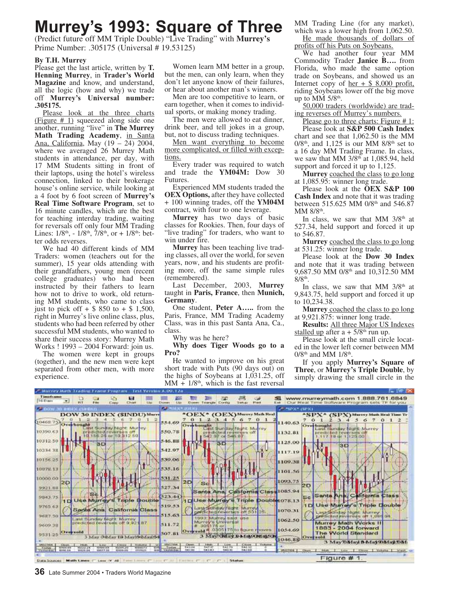# **Murrey's 1993: Square of Three**

(Predict future off MM Triple Double) "Live Trading" with **Murrey's** Prime Number: .305175 (Universal # 19.53125)

#### **By T.H. Murrey**

Please get the last article, written by **T. Henning Murrey**, in **Trader's World Magazine** and know, and understand, all the logic (how and why) we trade off **Murrey's Universal number: .305175.**

Please look at the three charts (Figure # 1) squeezed along side one another, running "live" in **The Murrey Math Trading Academy**, in Santa Ana, California, May (19 – 24) 2004, where we averaged 26 Murrey Math students in attendance, per day, with 17 MM Students sitting in front of their laptops, using the hotel's wireless connection, linked to their brokerage house's online service, while looking at a 4 foot by 6 foot screen of **Murrey's Real Time Software Program**, set to 16 minute candles, which are the best for teaching interday trading, waiting for reversals off only four MM Trading Lines:  $1/8^{th}$ ,  $-1/8^{th}$ ,  $7/8^{th}$ , or  $+1/8^{th}$ : better odds reverses.

We had 40 different kinds of MM Traders: women (teachers out for the summer), 15 year olds attending with their grandfathers, young men (recent college graduates) who had been instructed by their fathers to learn how not to drive to work, old returning MM students, who came to class just to pick of  $f + $850$  to  $+ $1,500$ , right in Murrey's live online class, plus, students who had been referred by other successful MM students, who wanted to share their success story: Murrey Math Works ! 1993 – 2004 Forward: join us.

The women were kept in groups (together), and the new men were kept separated from other men, with more experience.

Women learn MM better in a group, but the men, can only learn, when they don't let anyone know of their failures, or hear about another man's winners.

Men are too competitive to learn, or earn together, when it comes to individual sports, or making money trading.

The men were allowed to eat dinner, drink beer, and tell jokes in a group, but, not to discuss trading techniques.

Men want everything to become more complicated, or filled with exceptions.

Every trader was required to watch and trade the **YM04M:** Dow 30 Futures.

Experienced MM students traded the **OEX Options,** after they have collected + 100 winning trades, off the **YM04M** contract, with four to one leverage.

**Murrey** has two days of basic classes for Rookies. Then, four days of "live trading" for traders, who want to win under fire.

**Murrey** has been teaching live trading classes, all over the world, for seven years, now, and his students are profiting more, off the same simple rules (remembered).

Last December, 2003, **Murrey** taught in **Paris, France**, then **Munich, Germany**.

One student, **Peter A…..** from the Paris, France, MM Trading Academy Class, was in this past Santa Ana, Ca., class.

Why was he here?

**Why does Tiger Woods go to a Pro?**

He wanted to improve on his great short trade with Puts (90 days out) on the highs of Soybeans at 1,031.25, off  $MM + 1/8<sup>th</sup>$ , which is the fast reversal

MM Trading Line (for any market), which was a lower high from  $1,062.50$ .

He made thousands of dollars of profits off his Puts on Soybeans.

We had another four year MM Commodity Trader **Janice B….** from Florida, who made the same option trade on Soybeans, and showed us an Internet copy of  $her + $ 8,000$  profit</u>, riding Soybeans lower off the big move up to MM  $5/8$ <sup>th</sup>.

50,000 traders (worldwide) are trading reverses off Murrey's numbers.

Please go to three charts: Figure #1:

Please look at **S&P 500 Cash Index** chart and see that 1,062.50 is the MM  $0/8<sup>th</sup>$ , and 1,125 is our MM  $8/8<sup>th</sup>$  set to a 16 day MM Trading Frame. In class, we saw that MM  $3/8<sup>th</sup>$  at 1,085.94, held support and forced it up to 1,125.

**Murrey** coached the class to go long at 1,085.95: winner long trade.

Please look at the **OEX S&P 100 Cash Index** and note that it was trading between 515.625 MM 0/8<sup>th</sup> and 546.87 MM  $8/8$ <sup>th</sup>.

In class, we saw that MM  $3/8<sup>th</sup>$  at 527.34, held support and forced it up to 546.87.

**Murrey** coached the class to go long at 531.25: winner long trade.

Please look at the **Dow 30 Index** and note that it was trading between 9,687.50 MM 0/8<sup>th</sup> and 10,312.50 MM  $8/8$ <sup>th</sup>.

In class, we saw that MM  $3/8<sup>th</sup>$  at 9,843.75, held support and forced it up to 10,234.38.

**Murrey** coached the class to go long at 9,921.875: winner long trade.

**Results:** All three Major US Indexes stalled up after  $a + 5/8$ <sup>th</sup> run up.

Please look at the small circle located in the lower left corner between MM  $0/8<sup>th</sup>$  and MM  $1/8<sup>th</sup>$ .

If you apply **Murrey's Square of Three**, or **Murrey's Triple Double**, by simply drawing the small circle in the

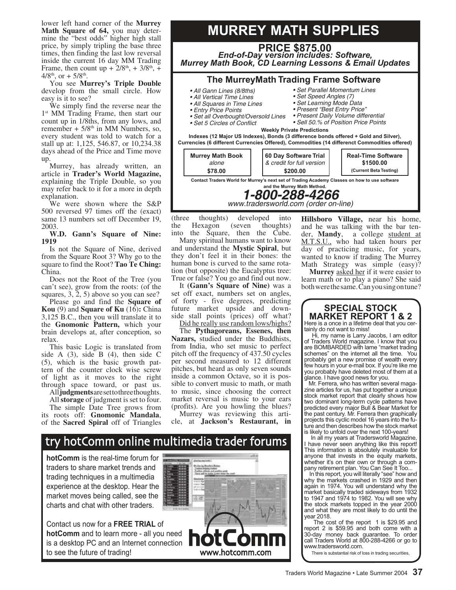lower left hand corner of the **Murrey Math Square of 64,** you may determine the "best odds" higher high stall price, by simply tripling the base three times, then finding the last low reversal inside the current 16 day MM Trading Frame, then count up +  $2/8^{\text{th}}$ , +  $3/8^{\text{th}}$ , +  $4/8^{\text{th}}$ , or + 5/8<sup>th</sup>.

You see **Murrey's Triple Double** develop from the small circle. How easy is it to see?

We simply find the reverse near the 1 st MM Trading Frame, then start our count up in 1/8ths, from any lows, and remember +  $5/8<sup>th</sup>$  in MM Numbers, so, every student was told to watch for a stall up at: 1,125, 546.87, or 10,234.38 days ahead of the Price and Time move up.

Murrey, has already written, an article in **Trader's World Magazine,** explaining the Triple Double, so you may refer back to it for a more in depth explanation.

We were shown where the S&P 500 reversed 97 times off the (exact) same 13 numbers set off December 19, 2003.

**W.D. Gann's Square of Nine: 1919**

Is not the Square of Nine, derived from the Square Root 3? Why go to the square to find the Root? **Tao Te Ching:** China.

Does not the Root of the Tree (you can't see), grow from the roots: (of the squares, 3, 2, 5) above so you can see?

Please go and find the **Square of Kou** (9) and **Square of Ku** (16)**:** China 3,125 B.C., then you will translate it to the **Gnomonic Pattern,** which your brain develops at, after conception, so relax.

This basic Logic is translated from side A  $(3)$ , side B  $(4)$ , then side C (5), which is the basic growth pattern of the counter clock wise screw of light as it moves to the right through space toward, or past us.

All **judgments** are set to three thoughts.

All **storage** of judgment is set to four. The simple Date Tree grows from its roots off: **Gnomonic Mandala**, of the **Sacred Spiral** off of Triangles

# **MURREY MATH SUPPLIES**

**The MurreyMath Trading Frame Software** • All Gann Lines (8/8ths) • Set Parallel Momentum Lines **PRICE \$875.00** *End-of-Day version includes: Software, Murrey Math Book, CD Learning Lessons & Email Updates*

- All Vertical Time Lines
- All Squares in Time Lines
- Entry Price Points
- Set all Overbought/Oversold Lines
- Set 5 Circles of Conflict
- Set Speed Angles (7) • Set Learning Mode Data
- Present "Best Entry Price"
- Present Daily Volume differential
- Sell 50.% of Position Price Points

**Weekly Private Predictions**

**Indexes (12 Major US Indexes), Bonds (3 difference bonds offered + Gold and Silver), Currencies (6 different Currencies Offered), Commodities (14 differenct Commodities offered)**



www.tradersworld.com (order on-line)

(three thoughts) developed into the Hexagon (seven thoughts) into the Square, then the Cube.

Many spiritual humans want to know and understand the **Mystic Spiral**, but they don't feel it in their bones: the human bone is curved to the same rotation (but opposite) the Eucalyptus tree: True or false? You go and find out now.

It **(Gann's Square of Nine)** was a set off exact, numbers set on angles, of forty - five degrees, predicting future market upside and downside stall points (prices) off what?

Did he really use random lows/highs? The **Pythagoreans, Essenes, then Nazars,** studied under the Buddhists, from India, who set music to perfect pitch off the frequency of 437.50 cycles per second measured to 12 different pitches, but heard as only seven sounds inside a common Octave, so it is possible to convert music to math, or math to music, since choosing the correct market reversal is music to your ears (profits). Are you howling the blues?

Murrey was reviewing this article, at **Jackson's Restaurant, in** 

#### **Hillsboro Village,** near his home, and he was talking with the bar tender, **Mandy**, a college student at M.T.S.U., who had taken hours per day of practicing music, for years, wanted to know if trading The Murrey Math Strategy was simple (easy)?

**Murrey** asked her if it were easier to learn math or to play a piano? She said both were the same. Can you sing on tune?

### **SPECIAL STOCK MARKET REPORT 1 & 2** Here is a once in a lifetime deal that you cer-

tainly do not want to miss!

 Hi, my name is Larry Jacobs, I am editor of Traders World magazine. I know that you are BOMBARDED with lame "market trading schemes" on the internet all the time. You probably get a new promise of wealth every few hours in your e-mail box. If you're like me you probably have deleted most of them at a glance. I have good news for you.

 Mr. Ferrera, who has written several magazine articles for us, has put together a unique stock market report that clearly shows how two dominant long-term cycle patterns have predicted every major Bull & Bear Market for the past century. Mr. Ferrera then graphically projects this cyclic model 16 years into the future and then describes how the stock market is likely to unfold over the next 100-years!

 In all my years at Tradersworld Magazine, I have never seen anything like this report! This information is absolutely invaluable for anyone that invests in the equity markets, whether it's on their own or through a company retirement plan. You Can See It Too...

 In this report, you will literally "see" how and why the markets crashed in 1929 and then again in 1974. You will understand why the market basically traded sideways from 1932 to 1947 and 1974 to 1982. You will see why the stock markets topped in the year 2000 and what they are most likely to do until the year 2018.

 The cost of the report 1 is \$29.95 and report 2 is \$59.95 and both come with a 30-day money back guarantee. To order call Traders World at 800-288-4266 or go to www.tradersworld.com.

There is substantial risk of loss in trading securities,

# hotComm online multimedia trader forums trv

**hotComm** is the real-time forum for traders to share market trends and trading techniques in a multimedia experience at the desktop. Hear the market moves being called, see the charts and chat with other traders.

Contact us now for a **FREE TRIAL** of **hotComm** and to learn more - all you need is a desktop PC and an Internet connection to see the future of trading!

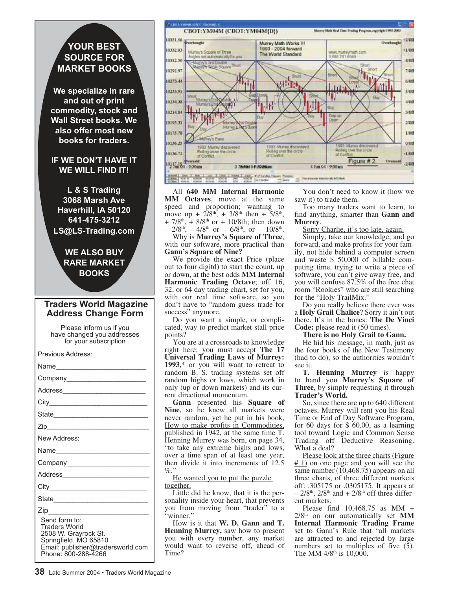# **YOUR BEST SOURCE FOR MARKET BOOKS**

**We specialize in rare and out of print commodity, stock and Wall Street books. We also offer most new books for traders.**

## **IF WE DON'T HAVE IT WE WILL FIND IT!**

**L & S Trading 3068 Marsh Ave Haverhill, IA 50120 641-475-3212 LS@LS-Trading.com**

# **WE ALSO BUY RARE MARKET BOOKS**

## **Traders World Magazine Address Change Form**

Please inform us if you have changed you addresses for your subscription

| Previous Address:                                                                                                                           |
|---------------------------------------------------------------------------------------------------------------------------------------------|
| Name_______________________                                                                                                                 |
| Company_________________________                                                                                                            |
| Address_________________________                                                                                                            |
|                                                                                                                                             |
|                                                                                                                                             |
|                                                                                                                                             |
| New Address:                                                                                                                                |
| Name_________________________                                                                                                               |
| Company_______________________                                                                                                              |
|                                                                                                                                             |
|                                                                                                                                             |
| State                                                                                                                                       |
| Send form to:<br>Traders World<br>2508 W. Grayrock St.<br>Springfield, MO 65810<br>Email: publisher@tradersworld.com<br>Phone: 800-288-4266 |



All **640 MM Internal Harmonic MM Octaves**, move at the same speed and proportion; wanting to move up +  $2/8^{\text{th}}$ , +  $3/8^{\text{th}}$  then +  $5/8^{\text{th}}$ , + 7/8<sup>th</sup>, + 8/8<sup>th</sup> or + 10/8th; then down  $-2/8$ <sup>th</sup>,  $-4/8$ <sup>th</sup> or  $-6/8$ <sup>th</sup>, or  $-10/8$ <sup>th</sup>.

Why is **Murrey's Square of Three**, with our software, more practical than **Gann's Square of Nine?**

We provide the exact Price (place out to four digitd) to start the count, up or down, at the best odds **MM Internal Harmonic Trading Octave**; off 16, 32, or 64 day trading chart, set for you, with our real time software, so you don't have to "random guess trade for success" anymore.

Do you want a simple, or complicated, way to predict market stall price points?

You are at a crossroads to knowledge right here; you must accept **The 17 Universal Trading Laws of Murrey: 1993**,\* or you will want to retreat to random B. S. trading systems set off random highs or lows, which work in only (up or down markets) and its current directional momentum.

**Gann** presented his **Square of Nine**, so he knew all markets were never random, yet he put in his book, How to make profits in Commodities, published in 1942, at the\_same time T. Henning Murrey was born, on page 34, "to take any extreme highs and lows, over a time span of at least one year, then divide it into increments of 12.5  $\%$ ."

He wanted you to put the puzzle together.

Little did he know, that it is the personality inside your heart, that prevents you from moving from "trader" to a 'winner.'

How is it that **W. D. Gann and T. Henning Murrey,** saw how to present you with every number, any market would want to reverse off, ahead of Time?

You don't need to know it (how we saw it) to trade them.

Too many traders want to learn, to find anything, smarter than **Gann and Murrey**.

#### Sorry Charlie, it's too late, again.

Simply, take our knowledge, and go forward, and make profits for your family, not hide behind a computer screen and waste \$ 50,000 of billable computing time, trying to write a piece of software, you can't give away free, and you will confuse 87.5% of the free chat room "Rookies" who are still searching for the "Holy TrailMix."

Do you really believe there ever was a **Holy Grail Chalice**? Sorry it ain't out there. It's in the bones: **The De Vinci Code:** please read it (50 times).

## **There is no Holy Grail to Gann.**

He hid his message, in math, just as the four books of the New Testimony (had to do), so the authorities wouldn't see it.

**T. Henning Murrey** is happy to hand you **Murrey's Square of Three**, by simply requesting it through **Trader's World.**

So, since there are up to 640 different octaves, Murrey will rent you his Real Time or End of Day Software Program, for 60 days for \$ 60.00, as a learning tool toward Logic and Common Sense Trading off Deductive Reasoning. What a deal?

Please look at the three charts (Figure  $# 1$ ) on one page and you will see the same number (10,468.75) appears on all three charts, of three different markets off: .305175 or .0305175. It appears at  $-$  2/8<sup>th</sup>, 2/8<sup>th</sup> and  $+$  2/8<sup>th</sup> off three different markets.

Please find 10,468.75 as MM + 2/8th on our automatically set **MM Internal Harmonic Trading Frame** set to Gann's Rule that "all markets are attracted to and rejected by large numbers set to multiples of five (5). The MM  $4/8^{\text{th}}$  is 10,000.